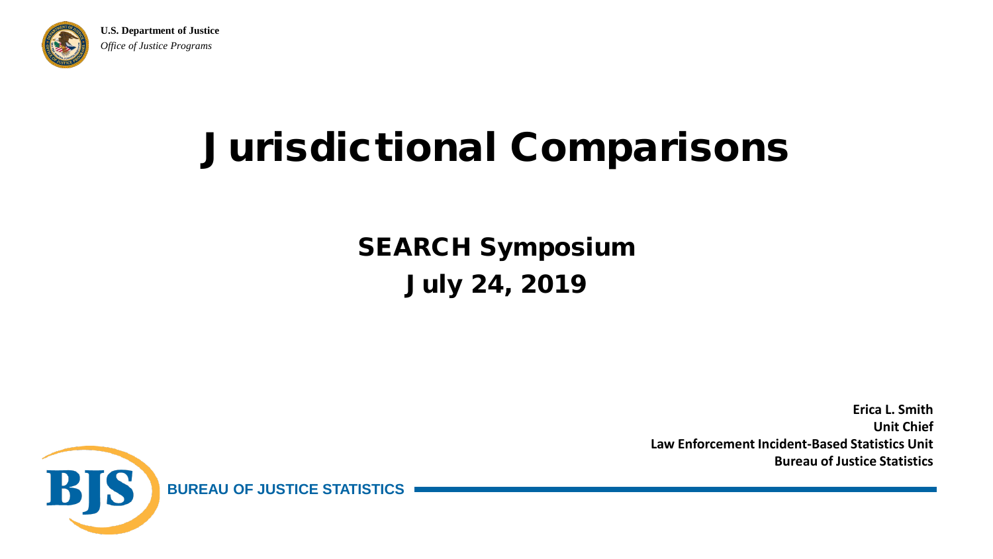

**U.S. Department of Justice** *Office of Justice Programs*

#### Jurisdictional Comparisons

#### SEARCH Symposium July 24, 2019

**Erica L. Smith Unit Chief Law Enforcement Incident-Based Statistics Unit Bureau of Justice Statistics**

BIS **BUREAU OF JUSTICE STATISTICS**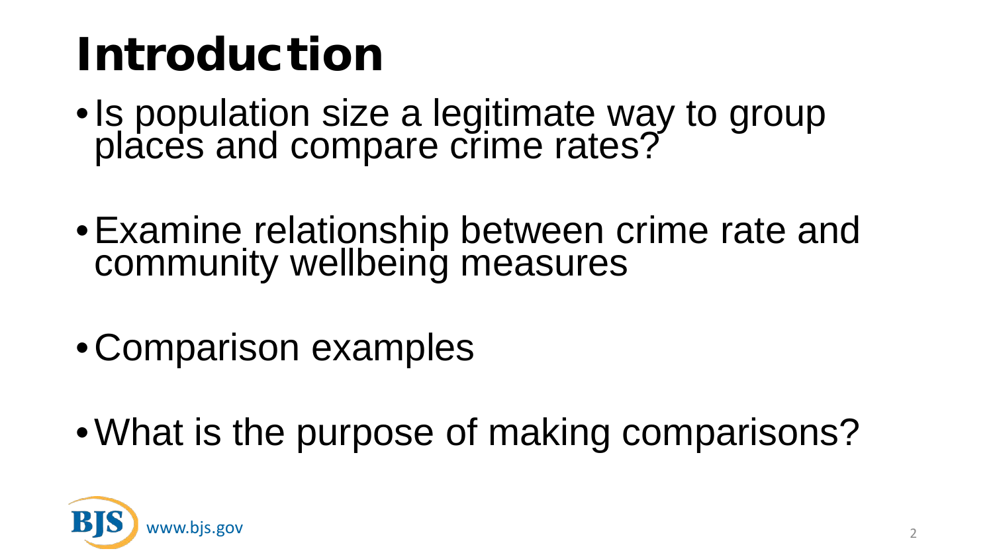## Introduction

- •Is population size a legitimate way to group places and compare crime rates?
- Examine relationship between crime rate and community wellbeing measures
- •Comparison examples
- •What is the purpose of making comparisons?

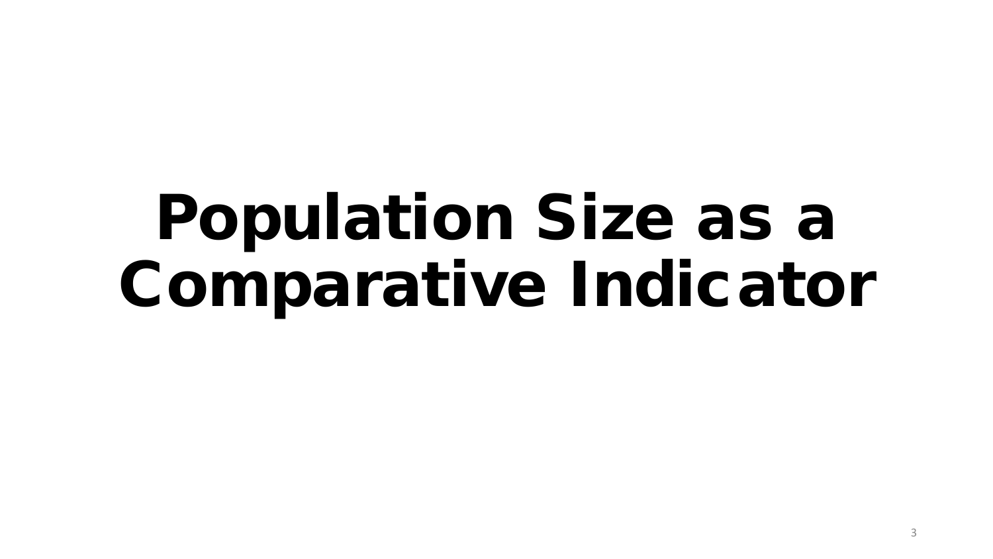## Population Size as a Comparative Indicator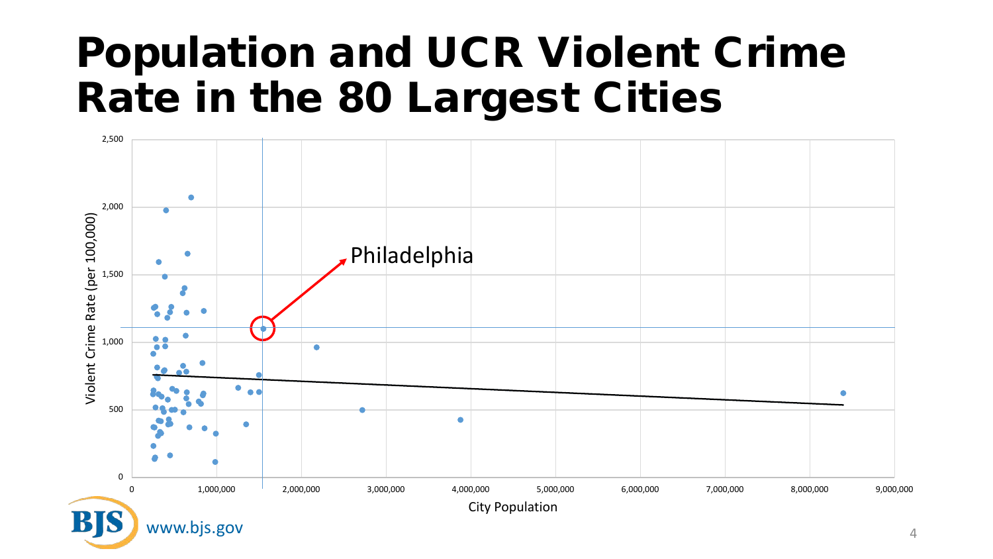#### Population and UCR Violent Crime Rate in the 80 Largest Cities

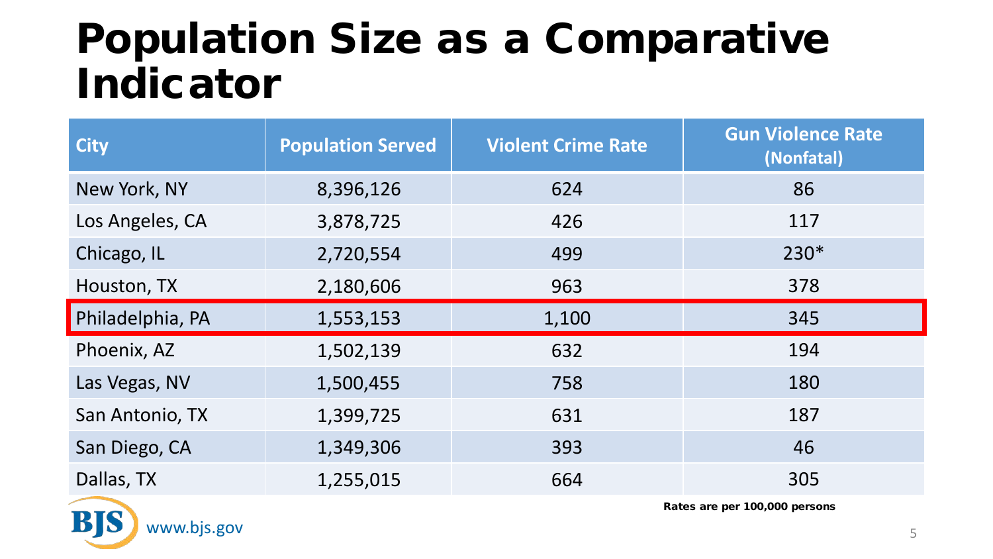#### Population Size as a Comparative Indicator

| <b>Population Served</b> | <b>Violent Crime Rate</b> | <b>Gun Violence Rate</b><br>(Nonfatal) |
|--------------------------|---------------------------|----------------------------------------|
| 8,396,126                | 624                       | 86                                     |
| 3,878,725                | 426                       | 117                                    |
| 2,720,554                | 499                       | 230*                                   |
| 2,180,606                | 963                       | 378                                    |
| 1,553,153                | 1,100                     | 345                                    |
| 1,502,139                | 632                       | 194                                    |
| 1,500,455                | 758                       | 180                                    |
| 1,399,725                | 631                       | 187                                    |
| 1,349,306                | 393                       | 46                                     |
| 1,255,015                | 664                       | 305                                    |
|                          |                           |                                        |

www.bjs.gov

B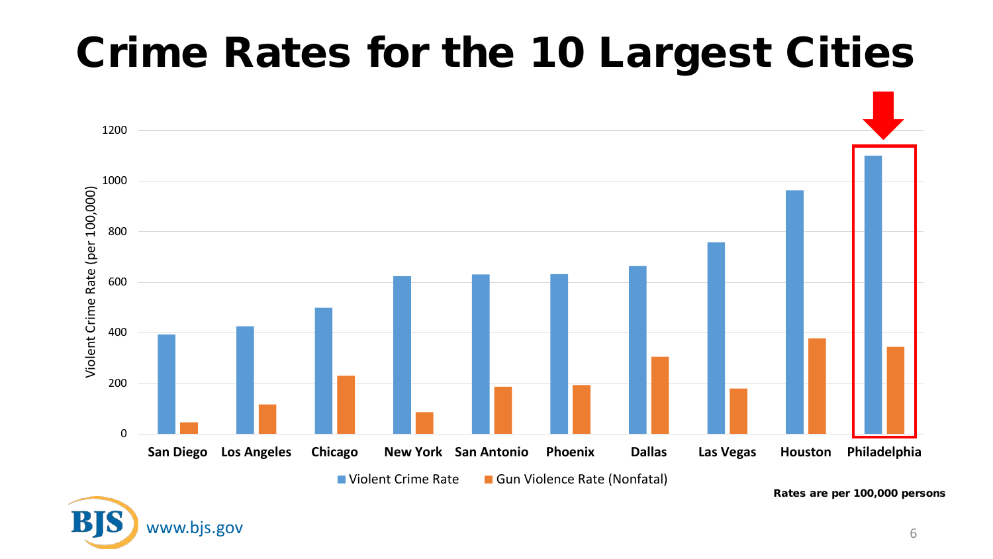### Crime Rates for the 10 Largest Cities

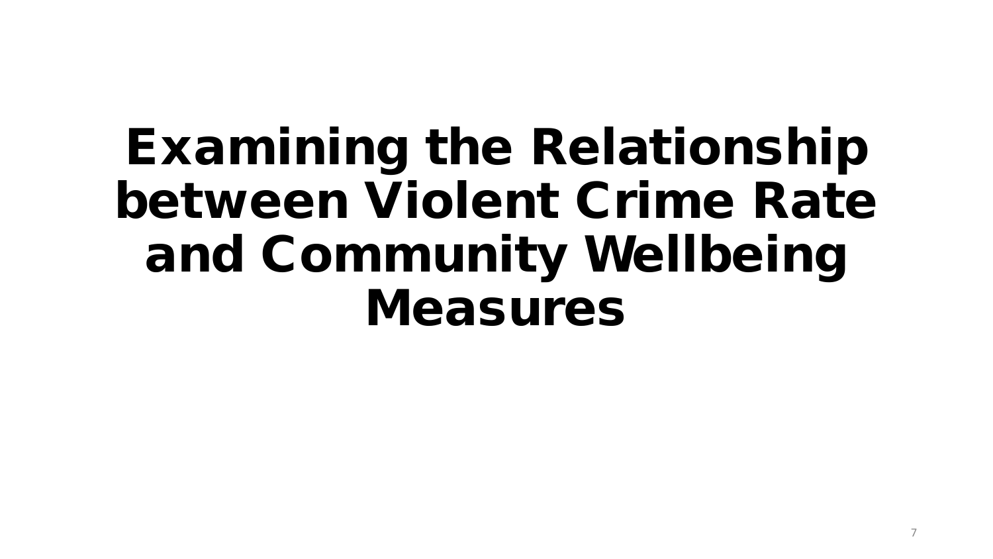## Examining the Relationship between Violent Crime Rate and Community Wellbeing Measures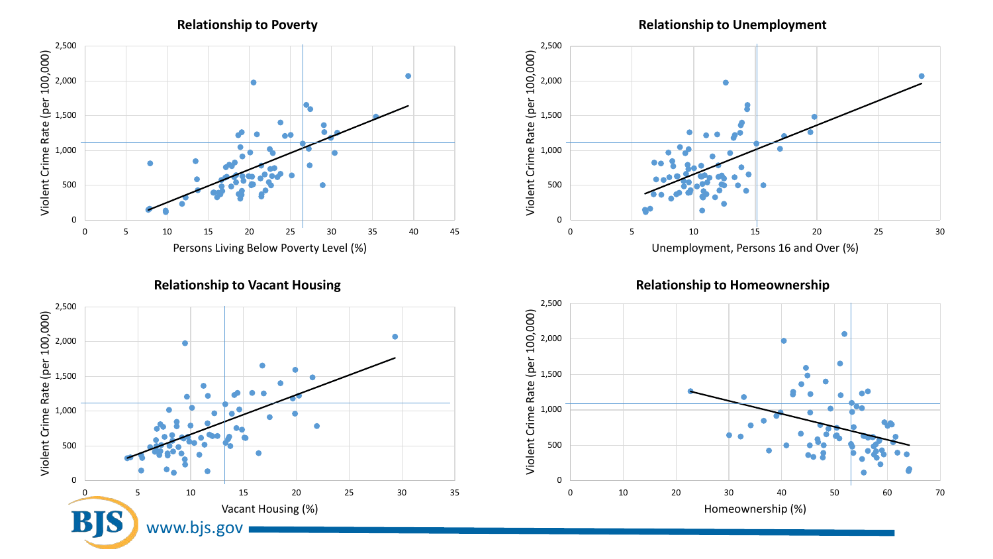**Relationship to Poverty**

**Relationship to Unemployment**





**Relationship to Vacant Housing**



**Relationship to Homeownership**

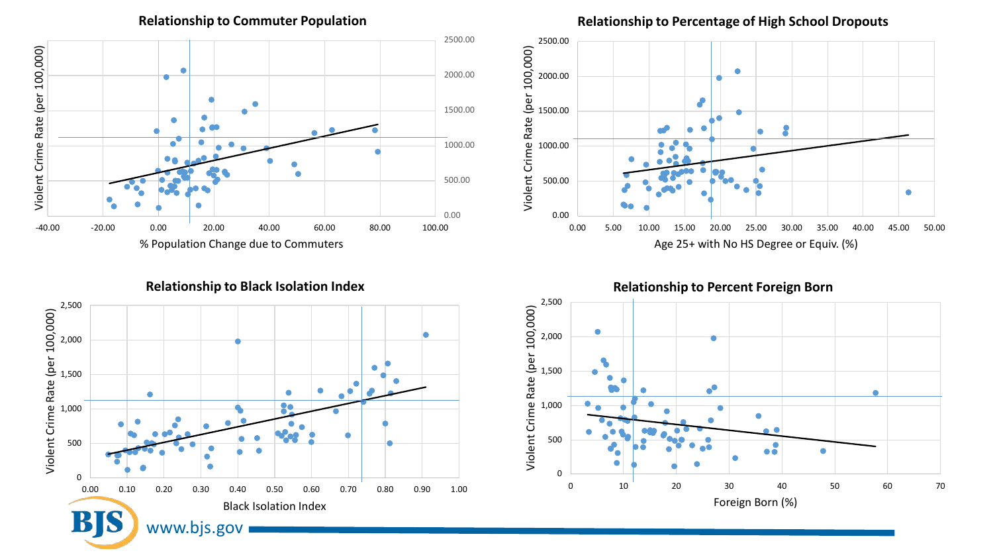0.00 500.00 1000.00 1500.00 2000.00 2500.00  $\frac{2}{\sqrt{3}}$ <br>  $\frac{1}{\sqrt{3}}$ <br>  $\frac{1}{\sqrt{3}}$ <br>  $\frac{1}{\sqrt{3}}$ <br>  $\frac{1}{\sqrt{3}}$ <br>  $\frac{1}{\sqrt{3}}$ <br>  $\frac{1}{\sqrt{3}}$ <br>  $\frac{1}{\sqrt{3}}$ <br>  $\frac{1}{\sqrt{3}}$ <br>  $\frac{1}{\sqrt{3}}$ <br>  $\frac{1}{\sqrt{3}}$ <br>  $\frac{1}{\sqrt{3}}$ <br>  $\frac{1}{\sqrt{3}}$ <br>  $\frac{1}{\sqrt{3}}$ <br>  $\frac{1}{\sqrt{3}}$ <br>  $\frac{1}{\sqrt{3}}$ % Population Change due to Commuters

**Relationship to Commuter Population**

**Relationship to Black Isolation Index**



**Relationship to Percentage of High School Dropouts**



**Relationship to Percent Foreign Born**

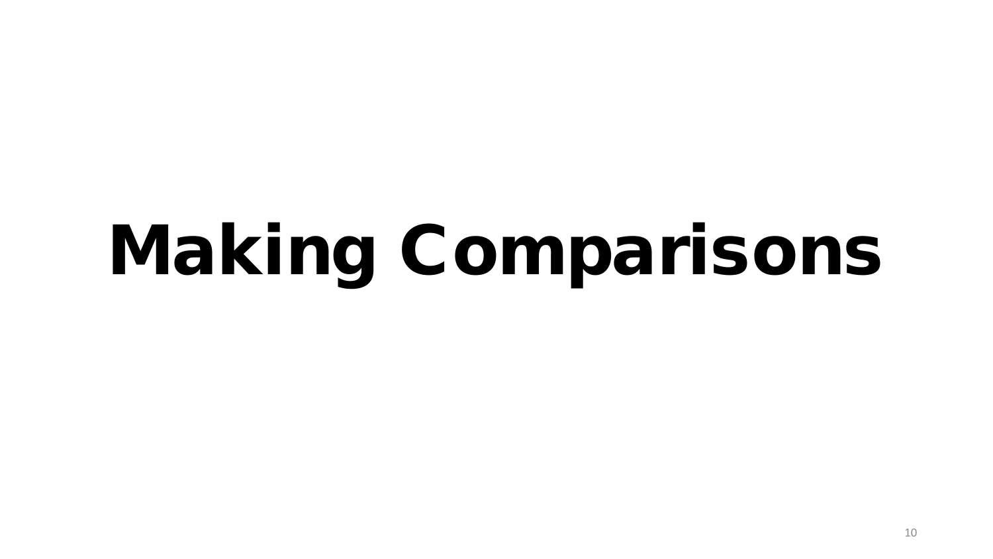# Making Comparisons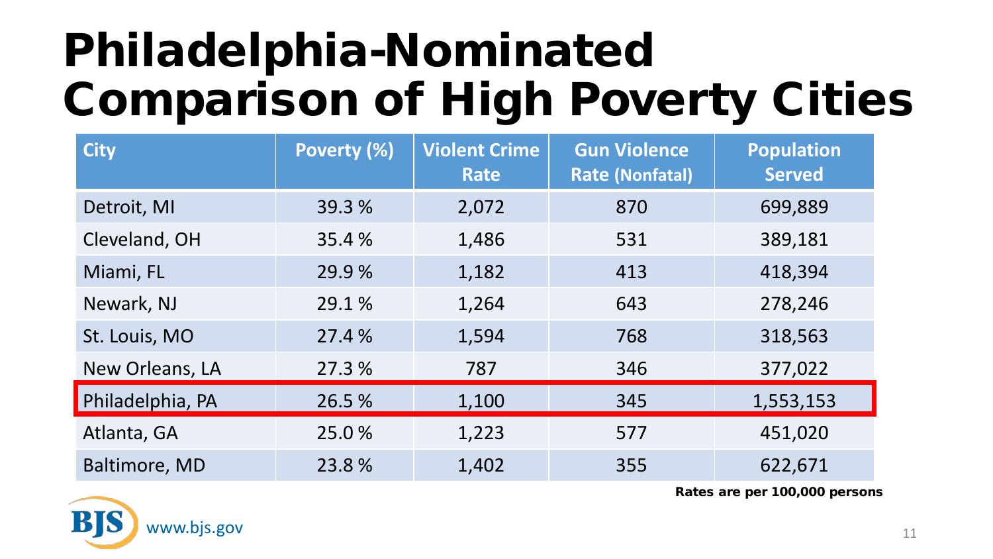## Philadelphia-Nominated Comparison of High Poverty Cities

| <b>City</b>      | Poverty (%) | <b>Violent Crime</b><br>Rate | <b>Gun Violence</b><br><b>Rate (Nonfatal)</b> | <b>Population</b><br><b>Served</b> |
|------------------|-------------|------------------------------|-----------------------------------------------|------------------------------------|
| Detroit, MI      | 39.3 %      | 2,072                        | 870                                           | 699,889                            |
| Cleveland, OH    | 35.4 %      | 1,486                        | 531                                           | 389,181                            |
| Miami, FL        | 29.9 %      | 1,182                        | 413                                           | 418,394                            |
| Newark, NJ       | 29.1 %      | 1,264                        | 643                                           | 278,246                            |
| St. Louis, MO    | 27.4 %      | 1,594                        | 768                                           | 318,563                            |
| New Orleans, LA  | 27.3 %      | 787                          | 346                                           | 377,022                            |
| Philadelphia, PA | 26.5 %      | 1,100                        | 345                                           | 1,553,153                          |
| Atlanta, GA      | 25.0%       | 1,223                        | 577                                           | 451,020                            |
| Baltimore, MD    | 23.8%       | 1,402                        | 355                                           | 622,671                            |

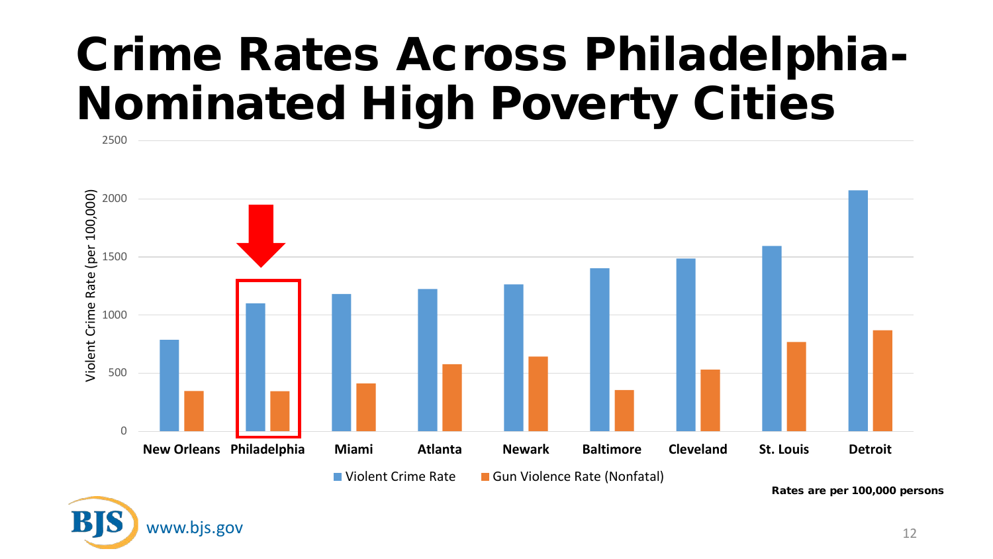### Crime Rates Across Philadelphia-Nominated High Poverty Cities



Rates are per 100,000 persons



2500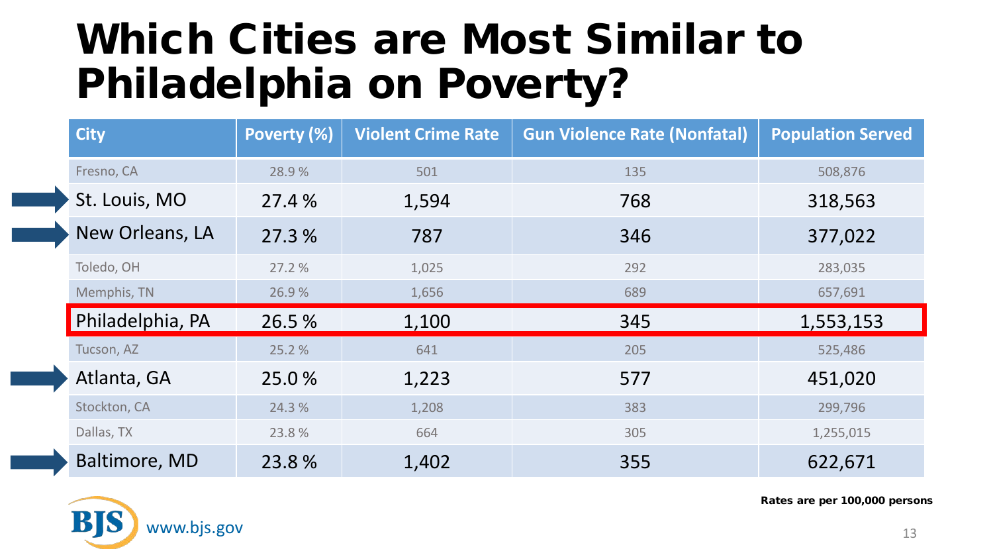#### Which Cities are Most Similar to Philadelphia on Poverty?

| <b>City</b>          | Poverty (%) | <b>Violent Crime Rate</b> | <b>Gun Violence Rate (Nonfatal)</b> | <b>Population Served</b> |
|----------------------|-------------|---------------------------|-------------------------------------|--------------------------|
| Fresno, CA           | 28.9%       | 501                       | 135                                 | 508,876                  |
| St. Louis, MO        | 27.4 %      | 1,594                     | 768                                 | 318,563                  |
| New Orleans, LA      | 27.3 %      | 787                       | 346                                 | 377,022                  |
| Toledo, OH           | 27.2 %      | 1,025                     | 292                                 | 283,035                  |
| Memphis, TN          | 26.9%       | 1,656                     | 689                                 | 657,691                  |
| Philadelphia, PA     | 26.5 %      | 1,100                     | 345                                 | 1,553,153                |
| Tucson, AZ           | 25.2 %      | 641                       | 205                                 | 525,486                  |
| Atlanta, GA          | 25.0%       | 1,223                     | 577                                 | 451,020                  |
| Stockton, CA         | 24.3 %      | 1,208                     | 383                                 | 299,796                  |
| Dallas, TX           | 23.8%       | 664                       | 305                                 | 1,255,015                |
| <b>Baltimore, MD</b> | 23.8%       | 1,402                     | 355                                 | 622,671                  |

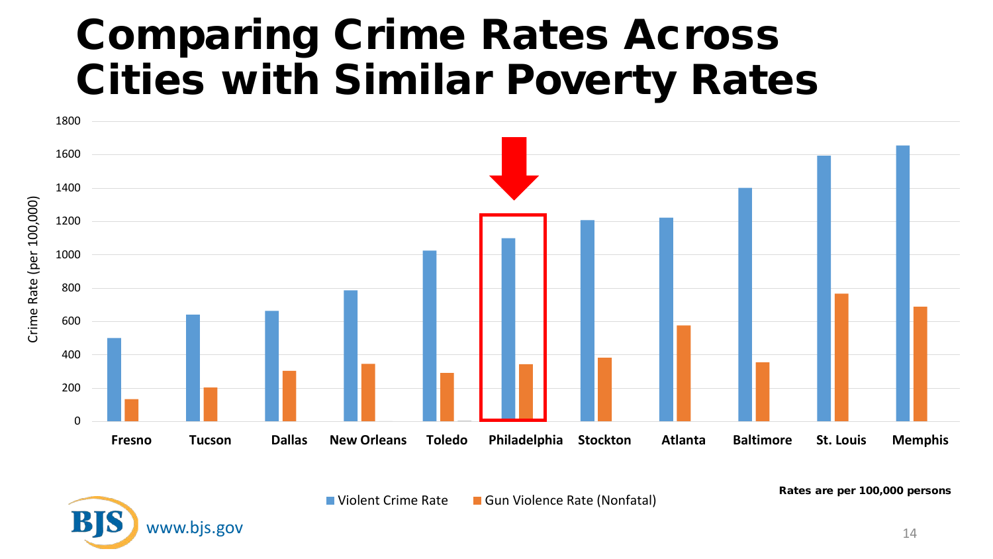#### Comparing Crime Rates Across Cities with Similar Poverty Rates



**Notent Crime Rate Gun Violence Rate (Nonfatal)** Rates are per 100,000 persons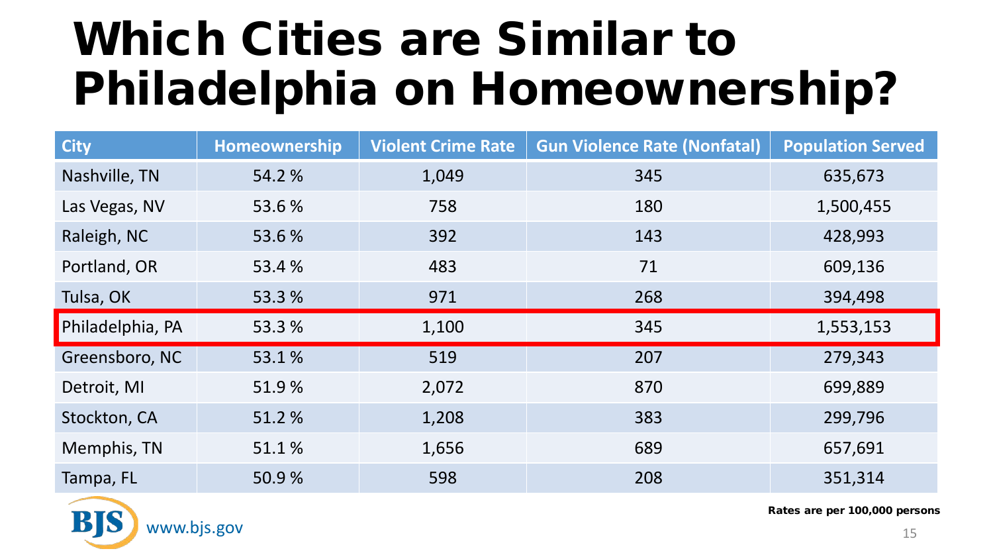## Which Cities are Similar to Philadelphia on Homeownership?

| <b>City</b>      | Homeownership | <b>Violent Crime Rate</b> | <b>Gun Violence Rate (Nonfatal)</b> | <b>Population Served</b> |
|------------------|---------------|---------------------------|-------------------------------------|--------------------------|
| Nashville, TN    | 54.2 %        | 1,049                     | 345                                 | 635,673                  |
| Las Vegas, NV    | 53.6%         | 758                       | 180                                 | 1,500,455                |
| Raleigh, NC      | 53.6 %        | 392                       | 143                                 | 428,993                  |
| Portland, OR     | 53.4 %        | 483                       | 71                                  | 609,136                  |
| Tulsa, OK        | 53.3 %        | 971                       | 268                                 | 394,498                  |
| Philadelphia, PA | 53.3 %        | 1,100                     | 345                                 | 1,553,153                |
| Greensboro, NC   | 53.1%         | 519                       | 207                                 | 279,343                  |
| Detroit, MI      | 51.9%         | 2,072                     | 870                                 | 699,889                  |
| Stockton, CA     | 51.2%         | 1,208                     | 383                                 | 299,796                  |
| Memphis, TN      | 51.1%         | 1,656                     | 689                                 | 657,691                  |
| Tampa, FL        | 50.9%         | 598                       | 208                                 | 351,314                  |

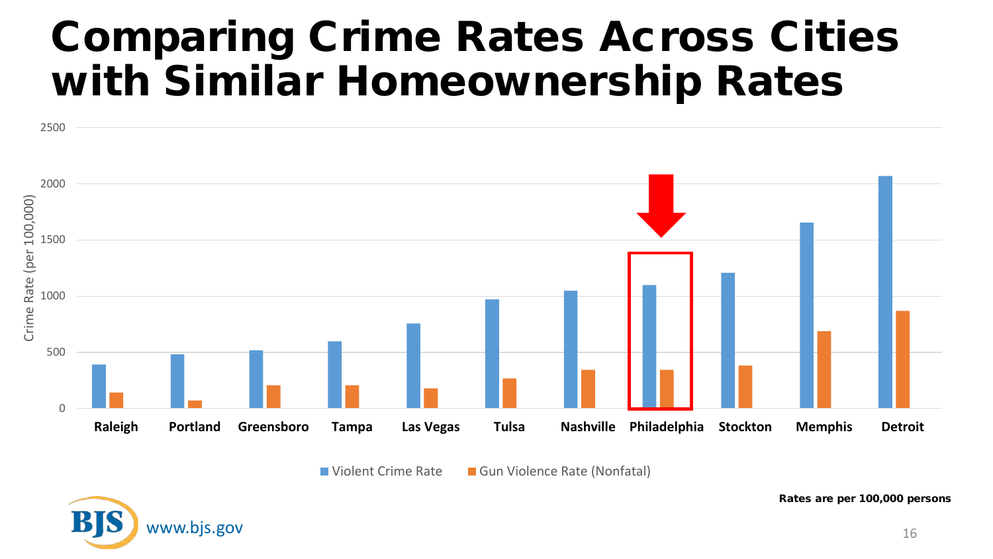#### Comparing Crime Rates Across Cities with Similar Homeownership Rates



■ Violent Crime Rate ■ Gun Violence Rate (Nonfatal)

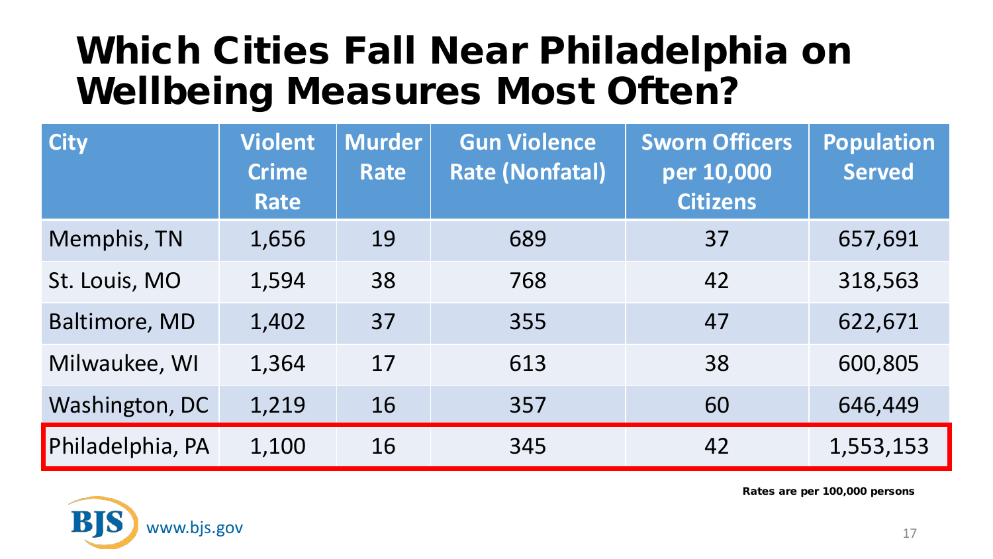#### Which Cities Fall Near Philadelphia on Wellbeing Measures Most Often?

| <b>City</b>      | <b>Violent</b><br><b>Crime</b><br>Rate | <b>Murder</b><br>Rate | <b>Gun Violence</b><br><b>Rate (Nonfatal)</b> | <b>Sworn Officers</b><br>per 10,000<br><b>Citizens</b> | <b>Population</b><br><b>Served</b> |
|------------------|----------------------------------------|-----------------------|-----------------------------------------------|--------------------------------------------------------|------------------------------------|
| Memphis, TN      | 1,656                                  | 19                    | 689                                           | 37                                                     | 657,691                            |
| St. Louis, MO    | 1,594                                  | 38                    | 768                                           | 42                                                     | 318,563                            |
| Baltimore, MD    | 1,402                                  | 37                    | 355                                           | 47                                                     | 622,671                            |
| Milwaukee, WI    | 1,364                                  | 17                    | 613                                           | 38                                                     | 600,805                            |
| Washington, DC   | 1,219                                  | 16                    | 357                                           | 60                                                     | 646,449                            |
| Philadelphia, PA | 1,100                                  | 16                    | 345                                           | 42                                                     | 1,553,153                          |

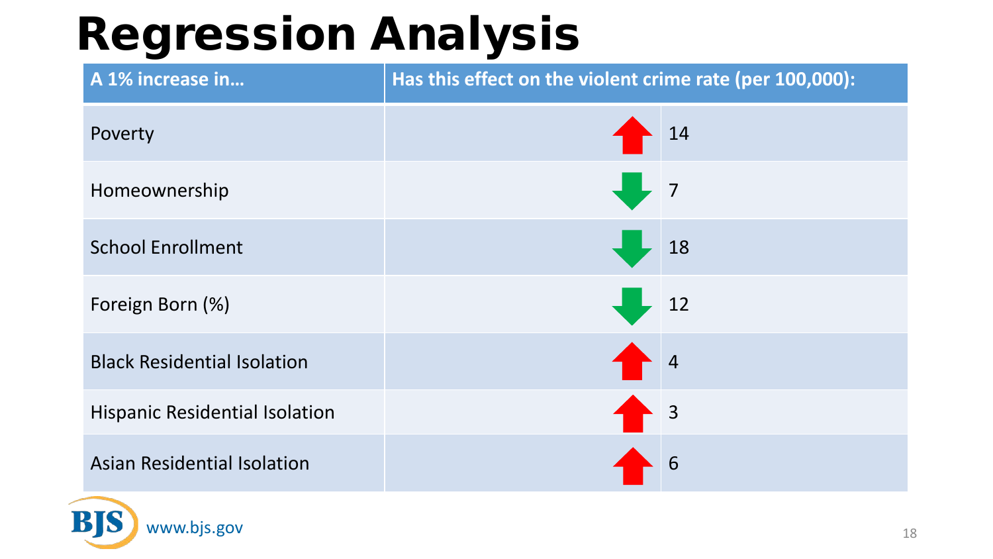## Regression Analysis

| A 1% increase in                      | Has this effect on the violent crime rate (per 100,000): |                                                         |  |
|---------------------------------------|----------------------------------------------------------|---------------------------------------------------------|--|
| Poverty                               |                                                          | 14                                                      |  |
| Homeownership                         |                                                          | $\sqrt{7}$                                              |  |
| <b>School Enrollment</b>              |                                                          | 18                                                      |  |
| Foreign Born (%)                      |                                                          | 12                                                      |  |
| <b>Black Residential Isolation</b>    |                                                          | $\begin{array}{ c c } \hline & 4 \\ \hline \end{array}$ |  |
| <b>Hispanic Residential Isolation</b> | $\rightarrow$ 3                                          |                                                         |  |
| <b>Asian Residential Isolation</b>    |                                                          | 6                                                       |  |

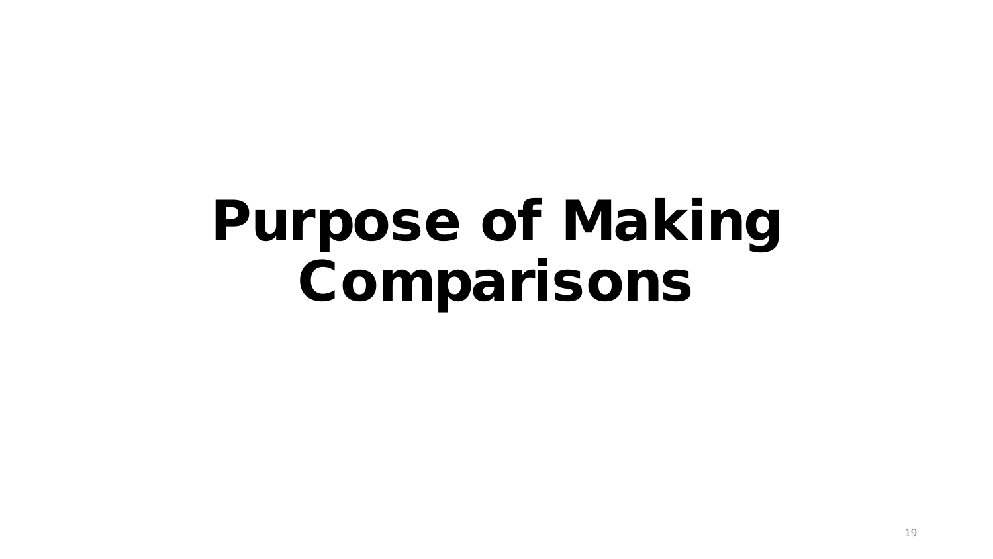## Purpose of Making Comparisons